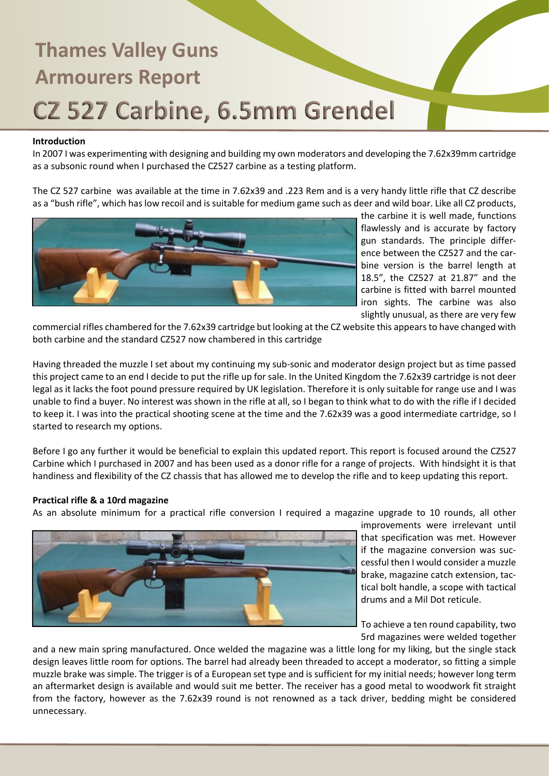### **Introduction**

In 2007 I was experimenting with designing and building my own moderators and developing the 7.62x39mm cartridge as a subsonic round when I purchased the CZ527 carbine as a testing platform.

The CZ 527 carbine was available at the time in 7.62x39 and .223 Rem and is a very handy little rifle that CZ describe as a "bush rifle", which has low recoil and is suitable for medium game such as deer and wild boar. Like all CZ products,



the carbine it is well made, functions flawlessly and is accurate by factory gun standards. The principle difference between the CZ527 and the carbine version is the barrel length at 18.5", the CZ527 at 21.87" and the carbine is fitted with barrel mounted iron sights. The carbine was also slightly unusual, as there are very few

commercial rifles chambered for the 7.62x39 cartridge but looking at the CZ website this appears to have changed with both carbine and the standard CZ527 now chambered in this cartridge

Having threaded the muzzle I set about my continuing my sub-sonic and moderator design project but as time passed this project came to an end I decide to put the rifle up for sale. In the United Kingdom the 7.62x39 cartridge is not deer legal as it lacks the foot pound pressure required by UK legislation. Therefore it is only suitable for range use and I was unable to find a buyer. No interest was shown in the rifle at all, so I began to think what to do with the rifle if I decided to keep it. I was into the practical shooting scene at the time and the 7.62x39 was a good intermediate cartridge, so I started to research my options.

Before I go any further it would be beneficial to explain this updated report. This report is focused around the CZ527 Carbine which I purchased in 2007 and has been used as a donor rifle for a range of projects. With hindsight it is that handiness and flexibility of the CZ chassis that has allowed me to develop the rifle and to keep updating this report.

### **Practical rifle & a 10rd magazine**

As an absolute minimum for a practical rifle conversion I required a magazine upgrade to 10 rounds, all other



improvements were irrelevant until that specification was met. However if the magazine conversion was successful then I would consider a muzzle brake, magazine catch extension, tactical bolt handle, a scope with tactical drums and a Mil Dot reticule.

To achieve a ten round capability, two 5rd magazines were welded together

and a new main spring manufactured. Once welded the magazine was a little long for my liking, but the single stack design leaves little room for options. The barrel had already been threaded to accept a moderator, so fitting a simple muzzle brake was simple. The trigger is of a European set type and is sufficient for my initial needs; however long term an aftermarket design is available and would suit me better. The receiver has a good metal to woodwork fit straight from the factory, however as the 7.62x39 round is not renowned as a tack driver, bedding might be considered unnecessary.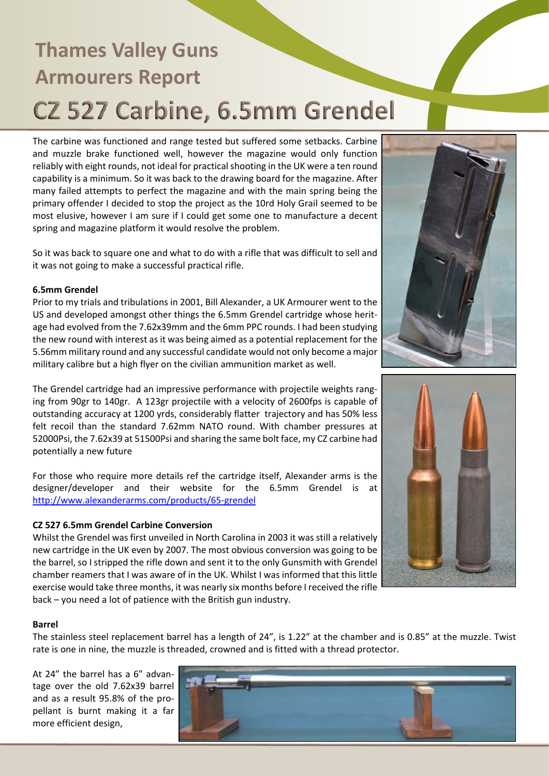The carbine was functioned and range tested but suffered some setbacks. Carbine and muzzle brake functioned well, however the magazine would only function reliably with eight rounds, not ideal for practical shooting in the UK were a ten round capability is a minimum. So it was back to the drawing board for the magazine. After many failed attempts to perfect the magazine and with the main spring being the primary offender I decided to stop the project as the 10rd Holy Grail seemed to be most elusive, however I am sure if I could get some one to manufacture a decent spring and magazine platform it would resolve the problem.

So it was back to square one and what to do with a rifle that was difficult to sell and it was not going to make a successful practical rifle.

### **6.5mm Grendel**

Prior to my trials and tribulations in 2001, Bill Alexander, a UK Armourer went to the US and developed amongst other things the 6.5mm Grendel cartridge whose heritage had evolved from the 7.62x39mm and the 6mm PPC rounds. I had been studying the new round with interest as it was being aimed as a potential replacement for the 5.56mm military round and any successful candidate would not only become a major military calibre but a high flyer on the civilian ammunition market as well.

The Grendel cartridge had an impressive performance with projectile weights ranging from 90gr to 140gr. A 123gr projectile with a velocity of 2600fps is capable of outstanding accuracy at 1200 yrds, considerably flatter trajectory and has 50% less felt recoil than the standard 7.62mm NATO round. With chamber pressures at 52000Psi, the 7.62x39 at 51500Psi and sharing the same bolt face, my CZ carbine had potentially a new future

For those who require more details ref the cartridge itself, Alexander arms is the designer/developer and their website for the 6.5mm Grendel is at http://www.alexanderarms.com/products/65-grendel

### **CZ 527 6.5mm Grendel Carbine Conversion**

Whilst the Grendel was first unveiled in North Carolina in 2003 it was still a relatively new cartridge in the UK even by 2007. The most obvious conversion was going to be the barrel, so I stripped the rifle down and sent it to the only Gunsmith with Grendel chamber reamers that I was aware of in the UK. Whilst I was informed that this little exercise would take three months, it was nearly six months before I received the rifle back – you need a lot of patience with the British gun industry.





#### **Barrel**

The stainless steel replacement barrel has a length of 24", is 1.22" at the chamber and is 0.85" at the muzzle. Twist rate is one in nine, the muzzle is threaded, crowned and is fitted with a thread protector.

At 24" the barrel has a 6" advantage over the old 7.62x39 barrel and as a result 95.8% of the propellant is burnt making it a far more efficient design,

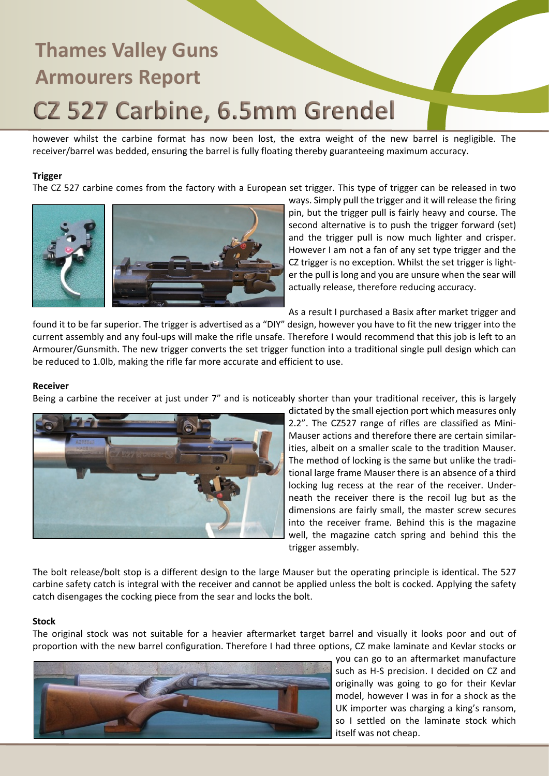however whilst the carbine format has now been lost, the extra weight of the new barrel is negligible. The receiver/barrel was bedded, ensuring the barrel is fully floating thereby guaranteeing maximum accuracy.

### **Trigger**

The CZ 527 carbine comes from the factory with a European set trigger. This type of trigger can be released in two



ways. Simply pull the trigger and it will release the firing pin, but the trigger pull is fairly heavy and course. The second alternative is to push the trigger forward (set) and the trigger pull is now much lighter and crisper. However I am not a fan of any set type trigger and the CZ trigger is no exception. Whilst the set trigger is lighter the pull is long and you are unsure when the sear will actually release, therefore reducing accuracy.

As a result I purchased a Basix after market trigger and

found it to be far superior. The trigger is advertised as a "DIY" design, however you have to fit the new trigger into the current assembly and any foul-ups will make the rifle unsafe. Therefore I would recommend that this job is left to an Armourer/Gunsmith. The new trigger converts the set trigger function into a traditional single pull design which can be reduced to 1.0lb, making the rifle far more accurate and efficient to use.

#### **Receiver**

Being a carbine the receiver at just under 7" and is noticeably shorter than your traditional receiver, this is largely



dictated by the small ejection port which measures only 2.2". The CZ527 range of rifles are classified as Mini-Mauser actions and therefore there are certain similarities, albeit on a smaller scale to the tradition Mauser. The method of locking is the same but unlike the traditional large frame Mauser there is an absence of a third locking lug recess at the rear of the receiver. Underneath the receiver there is the recoil lug but as the dimensions are fairly small, the master screw secures into the receiver frame. Behind this is the magazine well, the magazine catch spring and behind this the trigger assembly.

The bolt release/bolt stop is a different design to the large Mauser but the operating principle is identical. The 527 carbine safety catch is integral with the receiver and cannot be applied unless the bolt is cocked. Applying the safety catch disengages the cocking piece from the sear and locks the bolt.

### **Stock**

The original stock was not suitable for a heavier aftermarket target barrel and visually it looks poor and out of proportion with the new barrel configuration. Therefore I had three options, CZ make laminate and Kevlar stocks or



you can go to an aftermarket manufacture such as H-S precision. I decided on CZ and originally was going to go for their Kevlar model, however I was in for a shock as the UK importer was charging a king's ransom, so I settled on the laminate stock which itself was not cheap.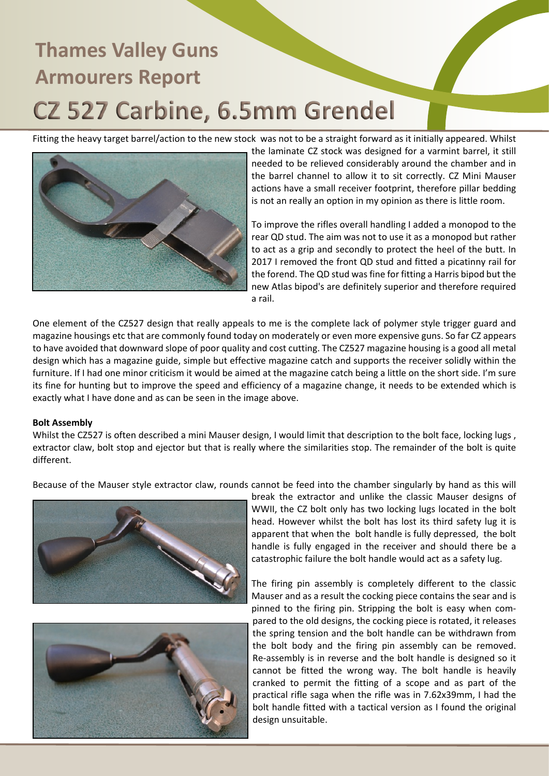Fitting the heavy target barrel/action to the new stock was not to be a straight forward as it initially appeared. Whilst



the laminate CZ stock was designed for a varmint barrel, it still needed to be relieved considerably around the chamber and in the barrel channel to allow it to sit correctly. CZ Mini Mauser actions have a small receiver footprint, therefore pillar bedding is not an really an option in my opinion as there is little room.

To improve the rifles overall handling I added a monopod to the rear QD stud. The aim was not to use it as a monopod but rather to act as a grip and secondly to protect the heel of the butt. In 2017 I removed the front QD stud and fitted a picatinny rail for the forend. The QD stud was fine for fitting a Harris bipod but the new Atlas bipod's are definitely superior and therefore required a rail.

One element of the CZ527 design that really appeals to me is the complete lack of polymer style trigger guard and magazine housings etc that are commonly found today on moderately or even more expensive guns. So far CZ appears to have avoided that downward slope of poor quality and cost cutting. The CZ527 magazine housing is a good all metal design which has a magazine guide, simple but effective magazine catch and supports the receiver solidly within the furniture. If I had one minor criticism it would be aimed at the magazine catch being a little on the short side. I'm sure its fine for hunting but to improve the speed and efficiency of a magazine change, it needs to be extended which is exactly what I have done and as can be seen in the image above.

### **Bolt Assembly**

Whilst the CZ527 is often described a mini Mauser design, I would limit that description to the bolt face, locking lugs, extractor claw, bolt stop and ejector but that is really where the similarities stop. The remainder of the bolt is quite different.

Because of the Mauser style extractor claw, rounds cannot be feed into the chamber singularly by hand as this will





break the extractor and unlike the classic Mauser designs of WWII, the CZ bolt only has two locking lugs located in the bolt head. However whilst the bolt has lost its third safety lug it is apparent that when the bolt handle is fully depressed, the bolt handle is fully engaged in the receiver and should there be a catastrophic failure the bolt handle would act as a safety lug.

The firing pin assembly is completely different to the classic Mauser and as a result the cocking piece contains the sear and is pinned to the firing pin. Stripping the bolt is easy when compared to the old designs, the cocking piece is rotated, it releases the spring tension and the bolt handle can be withdrawn from the bolt body and the firing pin assembly can be removed. Re-assembly is in reverse and the bolt handle is designed so it cannot be fitted the wrong way. The bolt handle is heavily cranked to permit the fitting of a scope and as part of the practical rifle saga when the rifle was in 7.62x39mm, I had the bolt handle fitted with a tactical version as I found the original design unsuitable.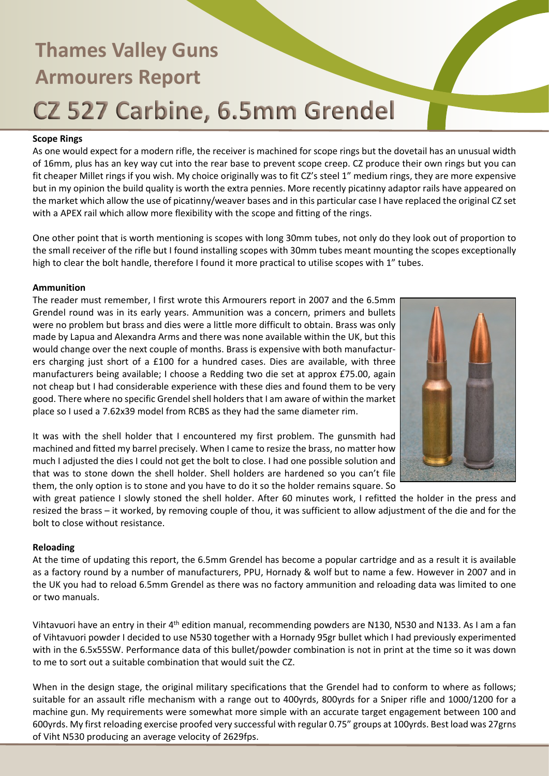### **Scope Rings**

As one would expect for a modern rifle, the receiver is machined for scope rings but the dovetail has an unusual width of 16mm, plus has an key way cut into the rear base to prevent scope creep. CZ produce their own rings but you can fit cheaper Millet rings if you wish. My choice originally was to fit CZ's steel 1" medium rings, they are more expensive but in my opinion the build quality is worth the extra pennies. More recently picatinny adaptor rails have appeared on the market which allow the use of picatinny/weaver bases and in this particular case I have replaced the original CZ set with a APEX rail which allow more flexibility with the scope and fitting of the rings.

One other point that is worth mentioning is scopes with long 30mm tubes, not only do they look out of proportion to the small receiver of the rifle but I found installing scopes with 30mm tubes meant mounting the scopes exceptionally high to clear the bolt handle, therefore I found it more practical to utilise scopes with 1" tubes.

### **Ammunition**

The reader must remember, I first wrote this Armourers report in 2007 and the 6.5mm Grendel round was in its early years. Ammunition was a concern, primers and bullets were no problem but brass and dies were a little more difficult to obtain. Brass was only made by Lapua and Alexandra Arms and there was none available within the UK, but this would change over the next couple of months. Brass is expensive with both manufacturers charging just short of a £100 for a hundred cases. Dies are available, with three manufacturers being available; I choose a Redding two die set at approx £75.00, again not cheap but I had considerable experience with these dies and found them to be very good. There where no specific Grendel shell holders that I am aware of within the market place so I used a 7.62x39 model from RCBS as they had the same diameter rim.

It was with the shell holder that I encountered my first problem. The gunsmith had machined and fitted my barrel precisely. When I came to resize the brass, no matter how much I adjusted the dies I could not get the bolt to close. I had one possible solution and that was to stone down the shell holder. Shell holders are hardened so you can't file them, the only option is to stone and you have to do it so the holder remains square. So



with great patience I slowly stoned the shell holder. After 60 minutes work, I refitted the holder in the press and resized the brass – it worked, by removing couple of thou, it was sufficient to allow adjustment of the die and for the bolt to close without resistance.

### **Reloading**

At the time of updating this report, the 6.5mm Grendel has become a popular cartridge and as a result it is available as a factory round by a number of manufacturers, PPU, Hornady & wolf but to name a few. However in 2007 and in the UK you had to reload 6.5mm Grendel as there was no factory ammunition and reloading data was limited to one or two manuals.

Vihtavuori have an entry in their 4th edition manual, recommending powders are N130, N530 and N133. As I am a fan of Vihtavuori powder I decided to use N530 together with a Hornady 95gr bullet which I had previously experimented with in the 6.5x55SW. Performance data of this bullet/powder combination is not in print at the time so it was down to me to sort out a suitable combination that would suit the CZ.

When in the design stage, the original military specifications that the Grendel had to conform to where as follows; suitable for an assault rifle mechanism with a range out to 400yrds, 800yrds for a Sniper rifle and 1000/1200 for a machine gun. My requirements were somewhat more simple with an accurate target engagement between 100 and 600yrds. My first reloading exercise proofed very successful with regular 0.75" groups at 100yrds. Best load was 27grns of Viht N530 producing an average velocity of 2629fps.